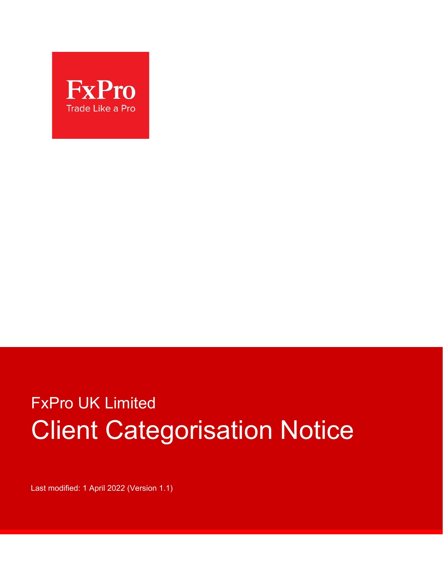

# FxPro UK Limited Client Categorisation Notice

Last modified: 1 April 2022 (Version 1.1)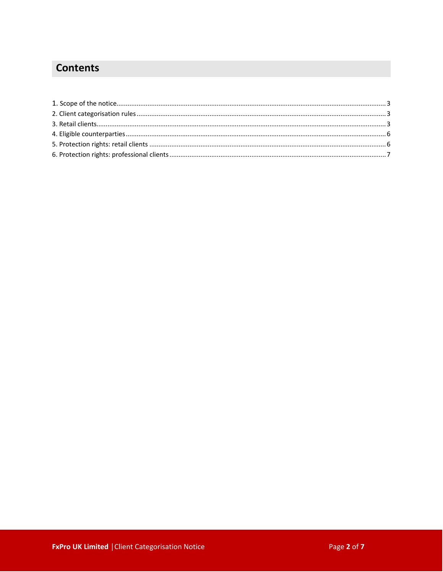## **Contents**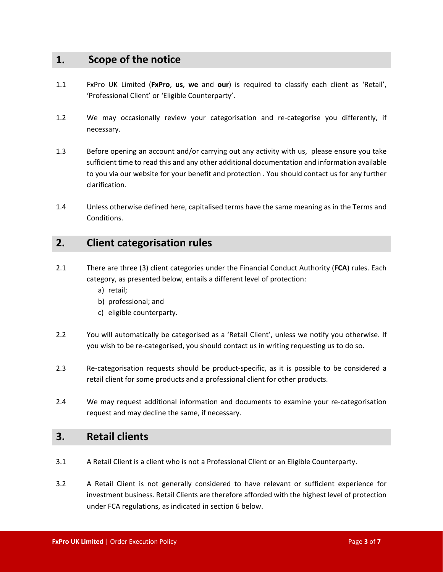## **1. Scope of the notice**

- 1.1 FxPro UK Limited (**FxPro**, **us**, **we** and **our**) is required to classify each client as 'Retail', 'Professional Client' or 'Eligible Counterparty'.
- 1.2 We may occasionally review your categorisation and re-categorise you differently, if necessary.
- 1.3 Before opening an account and/or carrying out any activity with us, please ensure you take sufficient time to read this and any other additional documentation and information available to you via our website for your benefit and protection . You should contact us for any further clarification.
- 1.4 Unless otherwise defined here, capitalised terms have the same meaning as in the Terms and Conditions.

#### **2. Client categorisation rules**

- 2.1 There are three (3) client categories under the Financial Conduct Authority (**FCA**) rules. Each category, as presented below, entails a different level of protection:
	- a) retail;
	- b) professional; and
	- c) eligible counterparty.
- 2.2 You will automatically be categorised as a 'Retail Client', unless we notify you otherwise. If you wish to be re-categorised, you should contact us in writing requesting us to do so.
- 2.3 Re-categorisation requests should be product-specific, as it is possible to be considered a retail client for some products and a professional client for other products.
- 2.4 We may request additional information and documents to examine your re-categorisation request and may decline the same, if necessary.

#### **3. Retail clients**

- 3.1 A Retail Client is a client who is not a Professional Client or an Eligible Counterparty.
- 3.2 A Retail Client is not generally considered to have relevant or sufficient experience for investment business. Retail Clients are therefore afforded with the highest level of protection under FCA regulations, as indicated in section 6 below.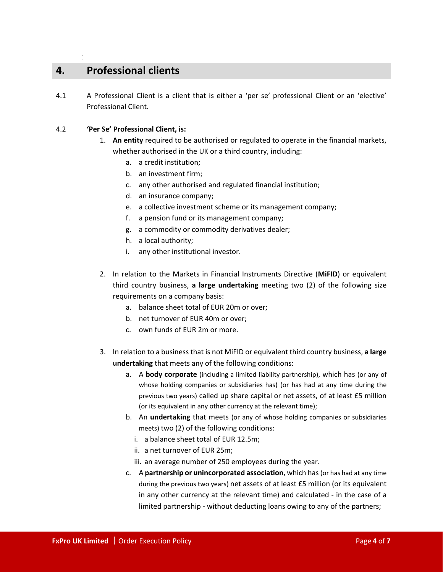## **4. Professional clients**

1

4.1 A Professional Client is a client that is either a 'per se' professional Client or an 'elective' Professional Client.

#### 4.2 **'Per Se' Professional Client, is:**

- 1. **An entity** required to be authorised or regulated to operate in the financial markets, whether authorised in the UK or a third country, including:
	- a. a credit institution;
	- b. an investment firm;
	- c. any other authorised and regulated financial institution;
	- d. an insurance company;
	- e. a collective investment scheme or its management company;
	- f. a pension fund or its management company;
	- g. a commodity or commodity derivatives dealer;
	- h. a local authority;
	- i. any other institutional investor.
- 2. In relation to the Markets in Financial Instruments Directive (**MiFID**) or equivalent third country business, **a large undertaking** meeting two (2) of the following size requirements on a company basis:
	- a. balance sheet total of EUR 20m or over;
	- b. net turnover of EUR 40m or over;
	- c. own funds of EUR 2m or more.
- 3. In relation to a business that is not MiFID or equivalent third country business, **a large undertaking** that meets any of the following conditions:
	- a. A **body corporate** (including a limited liability partnership), which has (or any of whose holding companies or subsidiaries has) (or has had at any time during the previous two years) called up share capital or net assets, of at least £5 million (or its equivalent in any other currency at the relevant time);
	- b. An **undertaking** that meets (or any of whose holding companies or subsidiaries meets) two (2) of the following conditions:
		- i. a balance sheet total of EUR 12.5m;
		- ii. a net turnover of EUR 25m;
		- iii. an average number of 250 employees during the year.
	- c. A **partnership or unincorporated association**, which has (or has had at any time during the previous two years) net assets of at least £5 million (or its equivalent in any other currency at the relevant time) and calculated - in the case of a limited partnership - without deducting loans owing to any of the partners;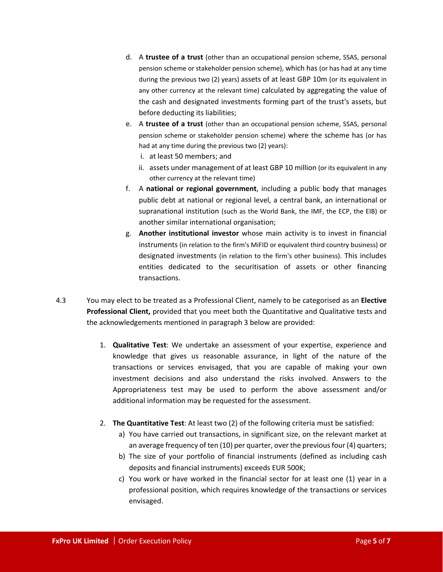- d. A **trustee of a trust** (other than an occupational pension scheme, SSAS, personal pension scheme or stakeholder pension scheme), which has (or has had at any time during the previous two (2) years) assets of at least GBP 10m (or its equivalent in any other currency at the relevant time) calculated by aggregating the value of the cash and designated investments forming part of the trust's assets, but before deducting its liabilities;
- e. A **trustee of a trust** (other than an occupational pension scheme, SSAS, personal pension scheme or stakeholder pension scheme) where the scheme has (or has had at any time during the previous two (2) years):
	- i. at least 50 members; and
	- ii. assets under management of at least GBP 10 million (or its equivalent in any other currency at the relevant time)
- f. A **national or regional government**, including a public body that manages public debt at national or regional level, a central bank, an international or supranational institution (such as the World Bank, the IMF, the ECP, the EIB) or another similar international organisation;
- g. **Another institutional investor** whose main activity is to invest in financial instruments (in relation to the firm's MiFID or equivalent third country business) or designated investments (in relation to the firm's other business). This includes entities dedicated to the securitisation of assets or other financing transactions.
- 4.3 You may elect to be treated as a Professional Client, namely to be categorised as an **Elective Professional Client,** provided that you meet both the Quantitative and Qualitative tests and the acknowledgements mentioned in paragraph 3 below are provided:
	- 1. **Qualitative Test**: We undertake an assessment of your expertise, experience and knowledge that gives us reasonable assurance, in light of the nature of the transactions or services envisaged, that you are capable of making your own investment decisions and also understand the risks involved. Answers to the Appropriateness test may be used to perform the above assessment and/or additional information may be requested for the assessment.
	- 2. **The Quantitative Test**: At least two (2) of the following criteria must be satisfied:
		- a) You have carried out transactions, in significant size, on the relevant market at an average frequency of ten (10) per quarter, over the previous four (4) quarters;
		- b) The size of your portfolio of financial instruments (defined as including cash deposits and financial instruments) exceeds EUR 500K;
		- c) You work or have worked in the financial sector for at least one (1) year in a professional position, which requires knowledge of the transactions or services envisaged.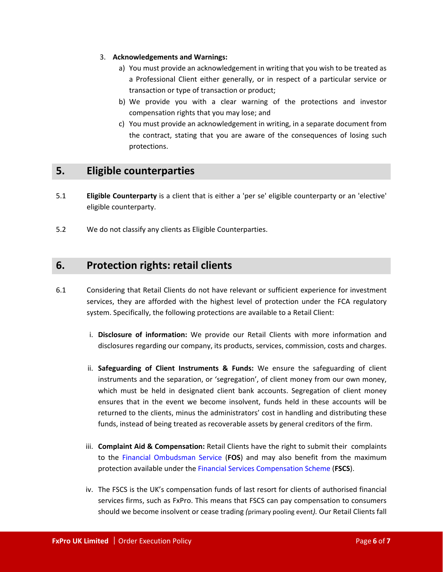- 3. **Acknowledgements and Warnings:**
	- a) You must provide an acknowledgement in writing that you wish to be treated as a Professional Client either generally, or in respect of a particular service or transaction or type of transaction or product;
	- b) We provide you with a clear warning of the protections and investor compensation rights that you may lose; and
	- c) You must provide an acknowledgement in writing, in a separate document from the contract, stating that you are aware of the consequences of losing such protections.

## **5. Eligible counterparties**

- 5.1 **Eligible Counterparty** is a client that is either a 'per se' eligible counterparty or an 'elective' eligible counterparty.
- 5.2 We do not classify any clients as Eligible Counterparties.

## **6. Protection rights: retail clients**

- 6.1 Considering that Retail Clients do not have relevant or sufficient experience for investment services, they are afforded with the highest level of protection under the FCA regulatory system. Specifically, the following protections are available to a Retail Client:
	- i. **Disclosure of information:** We provide our Retail Clients with more information and disclosures regarding our company, its products, services, commission, costs and charges.
	- ii. **Safeguarding of Client Instruments & Funds:** We ensure the safeguarding of client instruments and the separation, or 'segregation', of client money from our own money, which must be held in designated client bank accounts. Segregation of client money ensures that in the event we become insolvent, funds held in these accounts will be returned to the clients, minus the administrators' cost in handling and distributing these funds, instead of being treated as recoverable assets by general creditors of the firm.
	- iii. **Complaint Aid & Compensation:** Retail Clients have the right to submit their complaints to the [Financial Ombudsman Service](https://www.financial-ombudsman.org.uk/) (**FOS**) and may also benefit from the maximum protection available under th[e Financial Services Compensation Scheme](https://www.fscs.org.uk/) (**FSCS**).
	- iv. The FSCS is the UK's compensation funds of last resort for clients of authorised financial services firms, such as FxPro. This means that FSCS can pay compensation to consumers should we become insolvent or cease trading *(*primary pooling event*).* Our Retail Clients fall